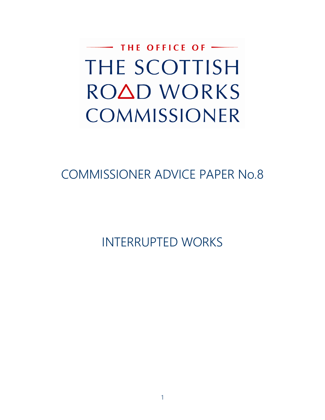$-$  THE OFFICE OF  $-$ THE SCOTTISH ROAD WORKS COMMISSIONER

# COMMISSIONER ADVICE PAPER No.8

INTERRUPTED WORKS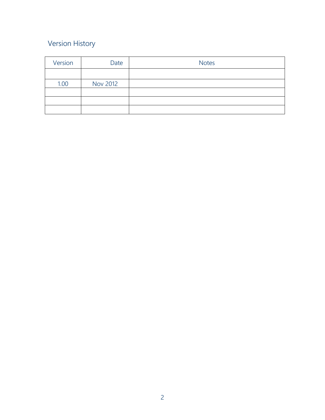## Version History

| Version | Date            | <b>Notes</b> |
|---------|-----------------|--------------|
|         |                 |              |
| 1.00    | <b>Nov 2012</b> |              |
|         |                 |              |
|         |                 |              |
|         |                 |              |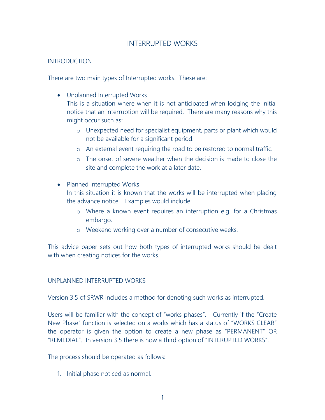### INTERRUPTED WORKS

#### INTRODUCTION

There are two main types of Interrupted works. These are:

Unplanned Interrupted Works

This is a situation where when it is not anticipated when lodging the initial notice that an interruption will be required. There are many reasons why this might occur such as:

- o Unexpected need for specialist equipment, parts or plant which would not be available for a significant period.
- o An external event requiring the road to be restored to normal traffic.
- o The onset of severe weather when the decision is made to close the site and complete the work at a later date.
- Planned Interrupted Works

In this situation it is known that the works will be interrupted when placing the advance notice. Examples would include:

- o Where a known event requires an interruption e.g. for a Christmas embargo.
- o Weekend working over a number of consecutive weeks.

This advice paper sets out how both types of interrupted works should be dealt with when creating notices for the works.

#### UNPLANNED INTERRUPTED WORKS

Version 3.5 of SRWR includes a method for denoting such works as interrupted.

Users will be familiar with the concept of "works phases". Currently if the "Create New Phase" function is selected on a works which has a status of "WORKS CLEAR" the operator is given the option to create a new phase as "PERMANENT" OR "REMEDIAL". In version 3.5 there is now a third option of "INTERUPTED WORKS".

The process should be operated as follows:

1. Initial phase noticed as normal.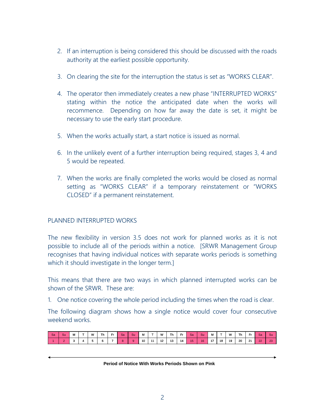- 2. If an interruption is being considered this should be discussed with the roads authority at the earliest possible opportunity.
- 3. On clearing the site for the interruption the status is set as "WORKS CLEAR".
- 4. The operator then immediately creates a new phase "INTERRUPTED WORKS" stating within the notice the anticipated date when the works will recommence. Depending on how far away the date is set, it might be necessary to use the early start procedure.
- 5. When the works actually start, a start notice is issued as normal.
- 6. In the unlikely event of a further interruption being required, stages 3, 4 and 5 would be repeated.
- 7. When the works are finally completed the works would be closed as normal setting as "WORKS CLEAR" if a temporary reinstatement or "WORKS CLOSED" if a permanent reinstatement.

#### PLANNED INTERRUPTED WORKS

The new flexibility in version 3.5 does not work for planned works as it is not possible to include all of the periods within a notice. [SRWR Management Group recognises that having individual notices with separate works periods is something which it should investigate in the longer term.]

This means that there are two ways in which planned interrupted works can be shown of the SRWR. These are:

1. One notice covering the whole period including the times when the road is clear.

The following diagram shows how a single notice would cover four consecutive weekend works.

| <b>Sa</b> | Su | M      | w | Th | Fr | Sa | Su | м  | - | w  | <b>Th</b> | Fr. | <b>Sa</b> | Su | М  | -  | W  | Th | Fr | Sa | 'Su            |
|-----------|----|--------|---|----|----|----|----|----|---|----|-----------|-----|-----------|----|----|----|----|----|----|----|----------------|
|           |    | -<br>υ |   |    |    |    | 9. | 10 | . | 12 | 13        | 14  |           | 16 | 17 | 18 | 19 | 20 | 21 | 22 | $\sim$<br>- 20 |

#### **Period of Notice With Works Periods Shown on Pink**